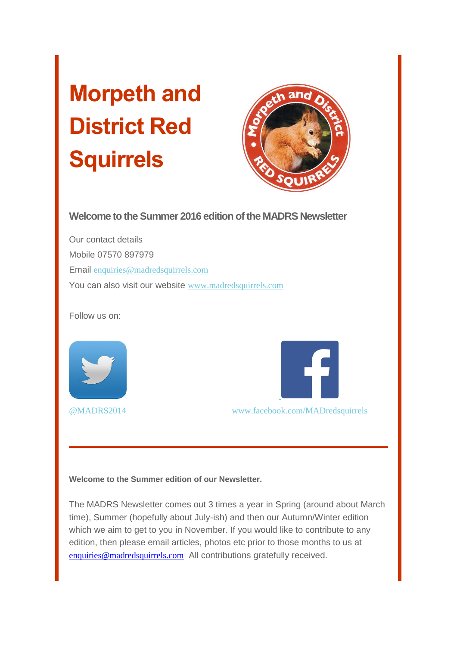# **Morpeth and District Red Squirrels**



**Welcome to the Summer 2016 edition of the MADRS Newsletter**

Our contact details Mobile 07570 897979 Email [enquiries@madredsquirrels.com](mailto:enquiries@madredsquirrels.com) You can also visit our website [www.madredsquirrels.com](http://madredsquirrels.us9.list-manage.com/track/click?u=de8abd118e0fd1ca285927950&id=8cdb65bc34&e=0886f496fa)

Follow us on:





[@MADRS2014](http://madredsquirrels.us9.list-manage.com/track/click?u=de8abd118e0fd1ca285927950&id=14991f3ce4&e=0886f496fa) [www.facebook.com/MADredsquirrels](http://madredsquirrels.us9.list-manage1.com/track/click?u=de8abd118e0fd1ca285927950&id=6ee360dd8a&e=0886f496fa)

**Welcome to the Summer edition of our Newsletter.**

The MADRS Newsletter comes out 3 times a year in Spring (around about March time), Summer (hopefully about July-ish) and then our Autumn/Winter edition which we aim to get to you in November. If you would like to contribute to any edition, then please email articles, photos etc prior to those months to us at [enquiries@madredsquirrels.com](mailto:enquiries@madredsquirrels.com) All contributions gratefully received.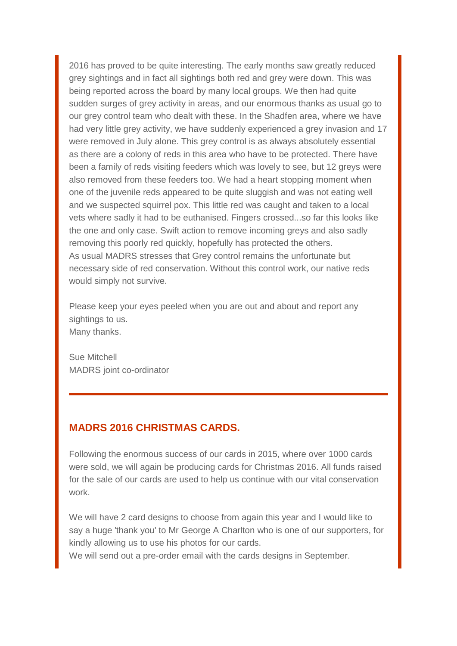2016 has proved to be quite interesting. The early months saw greatly reduced grey sightings and in fact all sightings both red and grey were down. This was being reported across the board by many local groups. We then had quite sudden surges of grey activity in areas, and our enormous thanks as usual go to our grey control team who dealt with these. In the Shadfen area, where we have had very little grey activity, we have suddenly experienced a grey invasion and 17 were removed in July alone. This grey control is as always absolutely essential as there are a colony of reds in this area who have to be protected. There have been a family of reds visiting feeders which was lovely to see, but 12 greys were also removed from these feeders too. We had a heart stopping moment when one of the juvenile reds appeared to be quite sluggish and was not eating well and we suspected squirrel pox. This little red was caught and taken to a local vets where sadly it had to be euthanised. Fingers crossed...so far this looks like the one and only case. Swift action to remove incoming greys and also sadly removing this poorly red quickly, hopefully has protected the others. As usual MADRS stresses that Grey control remains the unfortunate but necessary side of red conservation. Without this control work, our native reds would simply not survive.

Please keep your eyes peeled when you are out and about and report any sightings to us. Many thanks.

Sue Mitchell MADRS joint co-ordinator

### **MADRS 2016 CHRISTMAS CARDS.**

Following the enormous success of our cards in 2015, where over 1000 cards were sold, we will again be producing cards for Christmas 2016. All funds raised for the sale of our cards are used to help us continue with our vital conservation work.

We will have 2 card designs to choose from again this year and I would like to say a huge 'thank you' to Mr George A Charlton who is one of our supporters, for kindly allowing us to use his photos for our cards.

We will send out a pre-order email with the cards designs in September.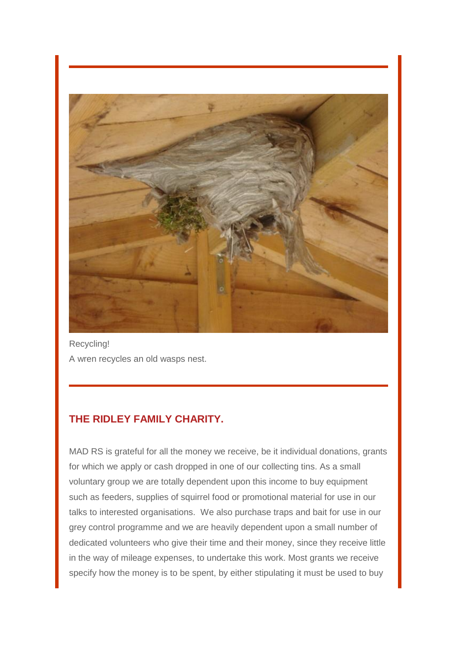

Recycling! A wren recycles an old wasps nest.

## **THE RIDLEY FAMILY CHARITY.**

MAD RS is grateful for all the money we receive, be it individual donations, grants for which we apply or cash dropped in one of our collecting tins. As a small voluntary group we are totally dependent upon this income to buy equipment such as feeders, supplies of squirrel food or promotional material for use in our talks to interested organisations. We also purchase traps and bait for use in our grey control programme and we are heavily dependent upon a small number of dedicated volunteers who give their time and their money, since they receive little in the way of mileage expenses, to undertake this work. Most grants we receive specify how the money is to be spent, by either stipulating it must be used to buy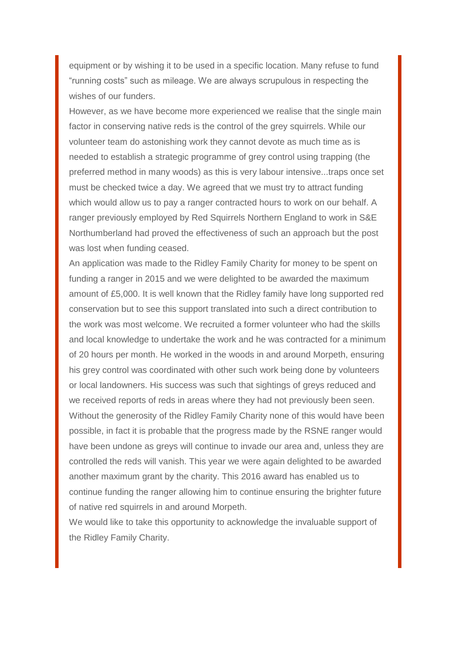equipment or by wishing it to be used in a specific location. Many refuse to fund "running costs" such as mileage. We are always scrupulous in respecting the wishes of our funders.

However, as we have become more experienced we realise that the single main factor in conserving native reds is the control of the grey squirrels. While our volunteer team do astonishing work they cannot devote as much time as is needed to establish a strategic programme of grey control using trapping (the preferred method in many woods) as this is very labour intensive...traps once set must be checked twice a day. We agreed that we must try to attract funding which would allow us to pay a ranger contracted hours to work on our behalf. A ranger previously employed by Red Squirrels Northern England to work in S&E Northumberland had proved the effectiveness of such an approach but the post was lost when funding ceased.

An application was made to the Ridley Family Charity for money to be spent on funding a ranger in 2015 and we were delighted to be awarded the maximum amount of £5,000. It is well known that the Ridley family have long supported red conservation but to see this support translated into such a direct contribution to the work was most welcome. We recruited a former volunteer who had the skills and local knowledge to undertake the work and he was contracted for a minimum of 20 hours per month. He worked in the woods in and around Morpeth, ensuring his grey control was coordinated with other such work being done by volunteers or local landowners. His success was such that sightings of greys reduced and we received reports of reds in areas where they had not previously been seen. Without the generosity of the Ridley Family Charity none of this would have been possible, in fact it is probable that the progress made by the RSNE ranger would have been undone as greys will continue to invade our area and, unless they are controlled the reds will vanish. This year we were again delighted to be awarded another maximum grant by the charity. This 2016 award has enabled us to continue funding the ranger allowing him to continue ensuring the brighter future of native red squirrels in and around Morpeth.

We would like to take this opportunity to acknowledge the invaluable support of the Ridley Family Charity.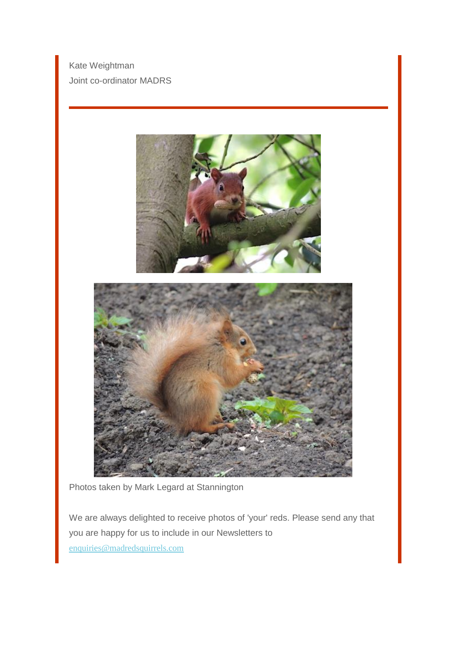Kate Weightman Joint co-ordinator MADRS



Photos taken by Mark Legard at Stannington

We are always delighted to receive photos of 'your' reds. Please send any that you are happy for us to include in our Newsletters to [enquiries@madredsquirrels.com](mailto:enquiries@madredsquirrels.com)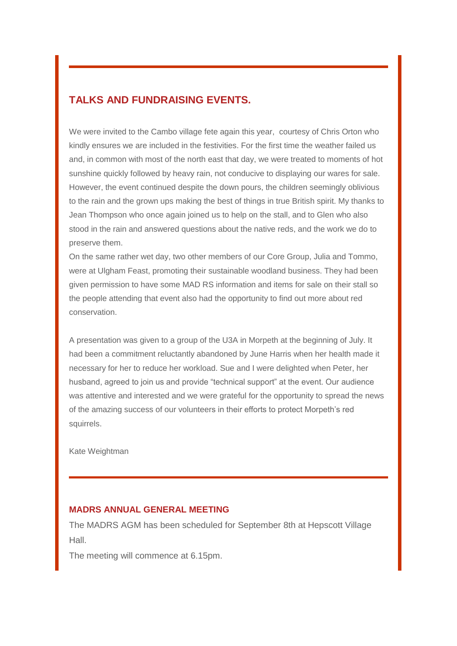#### **TALKS AND FUNDRAISING EVENTS.**

We were invited to the Cambo village fete again this year, courtesy of Chris Orton who kindly ensures we are included in the festivities. For the first time the weather failed us and, in common with most of the north east that day, we were treated to moments of hot sunshine quickly followed by heavy rain, not conducive to displaying our wares for sale. However, the event continued despite the down pours, the children seemingly oblivious to the rain and the grown ups making the best of things in true British spirit. My thanks to Jean Thompson who once again joined us to help on the stall, and to Glen who also stood in the rain and answered questions about the native reds, and the work we do to preserve them.

On the same rather wet day, two other members of our Core Group, Julia and Tommo, were at Ulgham Feast, promoting their sustainable woodland business. They had been given permission to have some MAD RS information and items for sale on their stall so the people attending that event also had the opportunity to find out more about red conservation.

A presentation was given to a group of the U3A in Morpeth at the beginning of July. It had been a commitment reluctantly abandoned by June Harris when her health made it necessary for her to reduce her workload. Sue and I were delighted when Peter, her husband, agreed to join us and provide "technical support" at the event. Our audience was attentive and interested and we were grateful for the opportunity to spread the news of the amazing success of our volunteers in their efforts to protect Morpeth's red squirrels.

Kate Weightman

#### **MADRS ANNUAL GENERAL MEETING**

The MADRS AGM has been scheduled for September 8th at Hepscott Village Hall.

The meeting will commence at 6.15pm.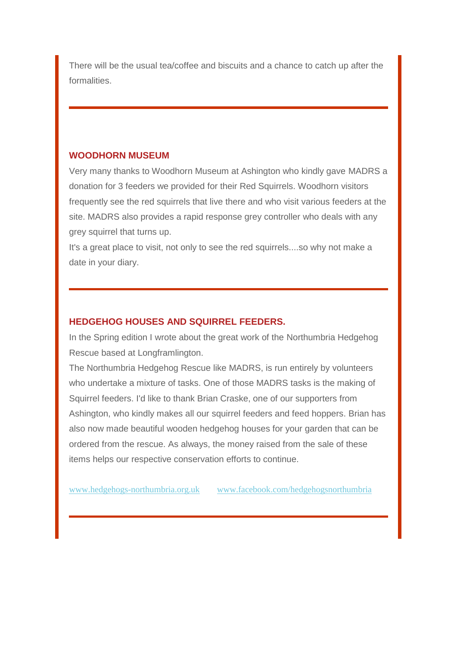There will be the usual tea/coffee and biscuits and a chance to catch up after the formalities.

#### **WOODHORN MUSEUM**

Very many thanks to Woodhorn Museum at Ashington who kindly gave MADRS a donation for 3 feeders we provided for their Red Squirrels. Woodhorn visitors frequently see the red squirrels that live there and who visit various feeders at the site. MADRS also provides a rapid response grey controller who deals with any grey squirrel that turns up.

It's a great place to visit, not only to see the red squirrels....so why not make a date in your diary.

#### **HEDGEHOG HOUSES AND SQUIRREL FEEDERS.**

In the Spring edition I wrote about the great work of the Northumbria Hedgehog Rescue based at Longframlington.

The Northumbria Hedgehog Rescue like MADRS, is run entirely by volunteers who undertake a mixture of tasks. One of those MADRS tasks is the making of Squirrel feeders. I'd like to thank Brian Craske, one of our supporters from Ashington, who kindly makes all our squirrel feeders and feed hoppers. Brian has also now made beautiful wooden hedgehog houses for your garden that can be ordered from the rescue. As always, the money raised from the sale of these items helps our respective conservation efforts to continue.

[www.hedgehogs-northumbria.org.uk](http://madredsquirrels.us9.list-manage1.com/track/click?u=de8abd118e0fd1ca285927950&id=de11d1fe17&e=0886f496fa) [www.facebook.com/hedgehogsnorthumbria](http://madredsquirrels.us9.list-manage.com/track/click?u=de8abd118e0fd1ca285927950&id=dcd58fe087&e=0886f496fa)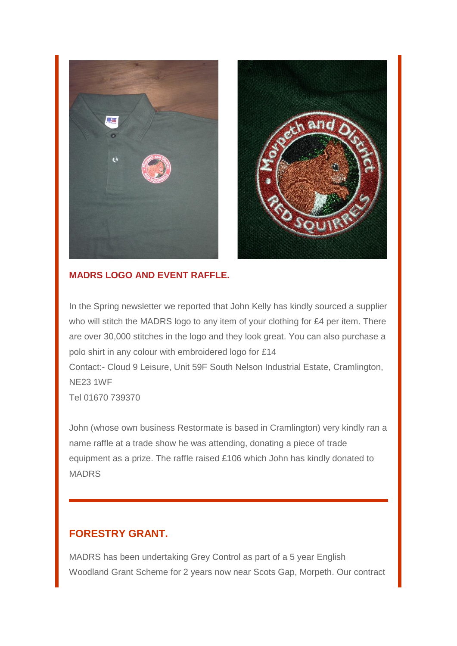

#### **MADRS LOGO AND EVENT RAFFLE.**

In the Spring newsletter we reported that John Kelly has kindly sourced a supplier who will stitch the MADRS logo to any item of your clothing for £4 per item. There are over 30,000 stitches in the logo and they look great. You can also purchase a polo shirt in any colour with embroidered logo for £14

Contact:- Cloud 9 Leisure, Unit 59F South Nelson Industrial Estate, Cramlington, NE23 1WF

Tel 01670 739370

John (whose own business Restormate is based in Cramlington) very kindly ran a name raffle at a trade show he was attending, donating a piece of trade equipment as a prize. The raffle raised £106 which John has kindly donated to MADRS

## **FORESTRY GRANT.**

MADRS has been undertaking Grey Control as part of a 5 year English Woodland Grant Scheme for 2 years now near Scots Gap, Morpeth. Our contract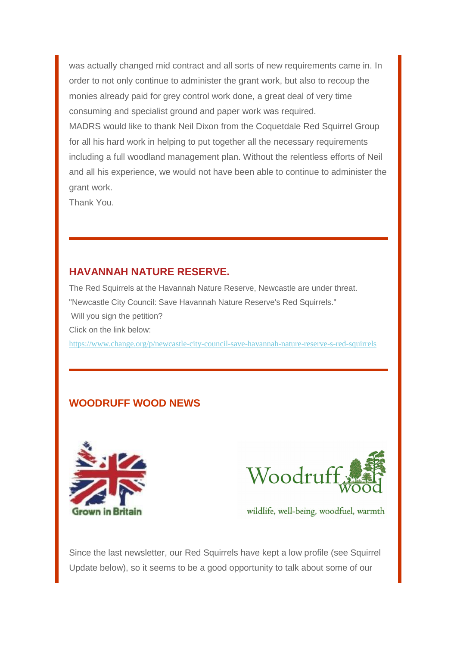was actually changed mid contract and all sorts of new requirements came in. In order to not only continue to administer the grant work, but also to recoup the monies already paid for grey control work done, a great deal of very time consuming and specialist ground and paper work was required. MADRS would like to thank Neil Dixon from the Coquetdale Red Squirrel Group for all his hard work in helping to put together all the necessary requirements including a full woodland management plan. Without the relentless efforts of Neil and all his experience, we would not have been able to continue to administer the grant work.

Thank You.

## **HAVANNAH NATURE RESERVE.**

The Red Squirrels at the Havannah Nature Reserve, Newcastle are under threat. "Newcastle City Council: Save Havannah Nature Reserve's Red Squirrels." Will you sign the petition? Click on the link below: [https://www.change.org/p/newcastle-city-council-save-havannah-nature-reserve-s-red-squirrels](http://madredsquirrels.us9.list-manage.com/track/click?u=de8abd118e0fd1ca285927950&id=05f4e2ffaa&e=0886f496fa)

## **WOODRUFF WOOD NEWS**





wildlife, well-being, woodfuel, warmth

Since the last newsletter, our Red Squirrels have kept a low profile (see Squirrel Update below), so it seems to be a good opportunity to talk about some of our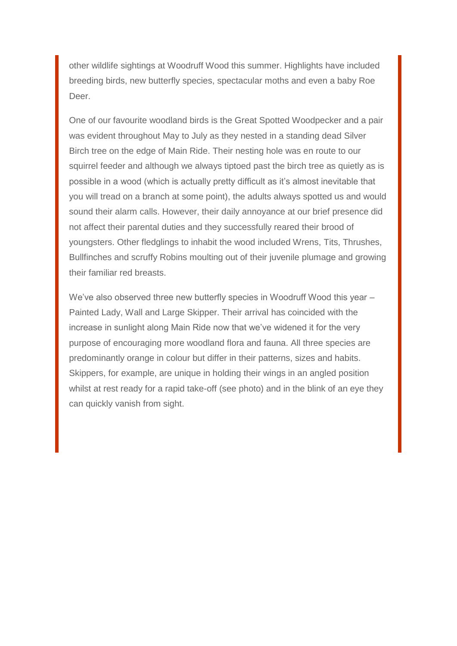other wildlife sightings at Woodruff Wood this summer. Highlights have included breeding birds, new butterfly species, spectacular moths and even a baby Roe Deer.

One of our favourite woodland birds is the Great Spotted Woodpecker and a pair was evident throughout May to July as they nested in a standing dead Silver Birch tree on the edge of Main Ride. Their nesting hole was en route to our squirrel feeder and although we always tiptoed past the birch tree as quietly as is possible in a wood (which is actually pretty difficult as it's almost inevitable that you will tread on a branch at some point), the adults always spotted us and would sound their alarm calls. However, their daily annoyance at our brief presence did not affect their parental duties and they successfully reared their brood of youngsters. Other fledglings to inhabit the wood included Wrens, Tits, Thrushes, Bullfinches and scruffy Robins moulting out of their juvenile plumage and growing their familiar red breasts.

We've also observed three new butterfly species in Woodruff Wood this year -Painted Lady, Wall and Large Skipper. Their arrival has coincided with the increase in sunlight along Main Ride now that we've widened it for the very purpose of encouraging more woodland flora and fauna. All three species are predominantly orange in colour but differ in their patterns, sizes and habits. Skippers, for example, are unique in holding their wings in an angled position whilst at rest ready for a rapid take-off (see photo) and in the blink of an eye they can quickly vanish from sight.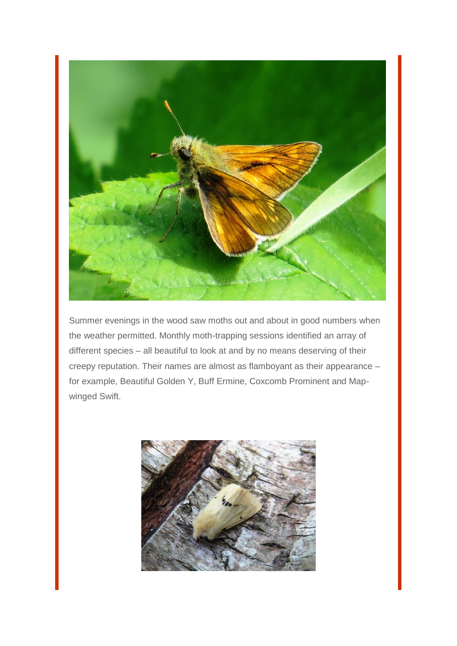

Summer evenings in the wood saw moths out and about in good numbers when the weather permitted. Monthly moth-trapping sessions identified an array of different species – all beautiful to look at and by no means deserving of their creepy reputation. Their names are almost as flamboyant as their appearance – for example, Beautiful Golden Y, Buff Ermine, Coxcomb Prominent and Mapwinged Swift.

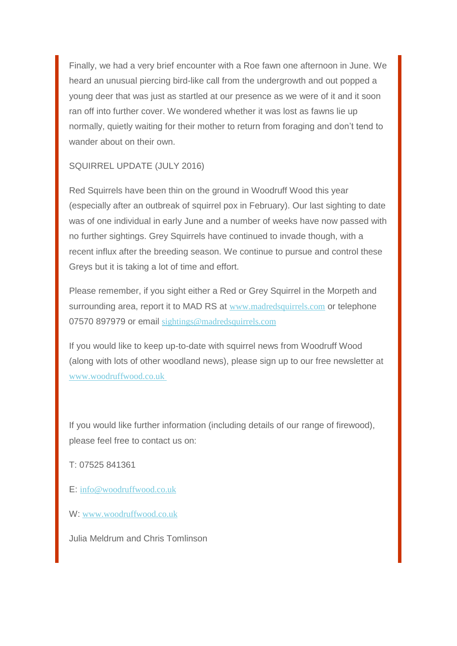Finally, we had a very brief encounter with a Roe fawn one afternoon in June. We heard an unusual piercing bird-like call from the undergrowth and out popped a young deer that was just as startled at our presence as we were of it and it soon ran off into further cover. We wondered whether it was lost as fawns lie up normally, quietly waiting for their mother to return from foraging and don't tend to wander about on their own.

SQUIRREL UPDATE (JULY 2016)

Red Squirrels have been thin on the ground in Woodruff Wood this year (especially after an outbreak of squirrel pox in February). Our last sighting to date was of one individual in early June and a number of weeks have now passed with no further sightings. Grey Squirrels have continued to invade though, with a recent influx after the breeding season. We continue to pursue and control these Greys but it is taking a lot of time and effort.

Please remember, if you sight either a Red or Grey Squirrel in the Morpeth and surrounding area, report it to MAD RS at [www.madredsquirrels.com](http://madredsquirrels.us9.list-manage1.com/track/click?u=de8abd118e0fd1ca285927950&id=f0feb4df18&e=0886f496fa) or telephone 07570 897979 or email [sightings@madredsquirrels.com](mailto:sightings@madredsquirrels.com)

If you would like to keep up-to-date with squirrel news from Woodruff Wood (along with lots of other woodland news), please sign up to our free newsletter at [www.woodruffwood.co.uk](http://madredsquirrels.us9.list-manage.com/track/click?u=de8abd118e0fd1ca285927950&id=d5f1a34fd6&e=0886f496fa)

If you would like further information (including details of our range of firewood), please feel free to contact us on:

T: 07525 841361

E: [info@woodruffwood.co.uk](mailto:info@woodruffwood.co.uk)

W: [www.woodruffwood.co.uk](http://madredsquirrels.us9.list-manage.com/track/click?u=de8abd118e0fd1ca285927950&id=d2692ca0ad&e=0886f496fa)

Julia Meldrum and Chris Tomlinson